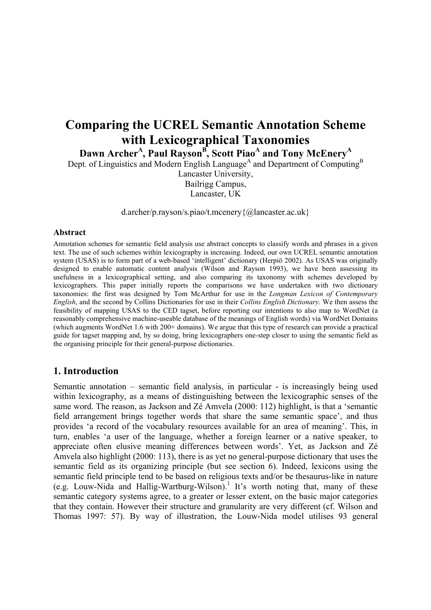# **Comparing the UCREL Semantic Annotation Scheme with Lexicographical Taxonomies**

Dawn Archer<sup>A</sup>, Paul Rayson<sup>B</sup>, Scott Piao<sup>A</sup> and Tony McEnery<sup>A</sup>

Dept. of Linguistics and Modern English Language<sup>A</sup> and Department of Computing<sup>B</sup>

Lancaster University, Bailrigg Campus, Lancaster, UK

d.archer/p.rayson/s.piao/t.mcenery{@lancaster.ac.uk}

#### **Abstract**

Annotation schemes for semantic field analysis use abstract concepts to classify words and phrases in a given text. The use of such schemes within lexicography is increasing. Indeed, our own UCREL semantic annotation system (USAS) is to form part of a web-based 'intelligent' dictionary (Herpiö 2002). As USAS was originally designed to enable automatic content analysis (Wilson and Rayson 1993), we have been assessing its usefulness in a lexicographical setting, and also comparing its taxonomy with schemes developed by lexicographers. This paper initially reports the comparisons we have undertaken with two dictionary taxonomies: the first was designed by Tom McArthur for use in the *Longman Lexicon of Contemporary English*, and the second by Collins Dictionaries for use in their *Collins English Dictionary*. We then assess the feasibility of mapping USAS to the CED tagset, before reporting our intentions to also map to WordNet (a reasonably comprehensive machine-useable database of the meanings of English words) via WordNet Domains (which augments WordNet 1.6 with 200+ domains). We argue that this type of research can provide a practical guide for tagset mapping and, by so doing, bring lexicographers one-step closer to using the semantic field as the organising principle for their general-purpose dictionaries.

## **1. Introduction**

Semantic annotation – semantic field analysis, in particular - is increasingly being used within lexicography, as a means of distinguishing between the lexicographic senses of the same word. The reason, as Jackson and Zé Amvela (2000: 112) highlight, is that a 'semantic field arrangement brings together words that share the same semantic space', and thus provides 'a record of the vocabulary resources available for an area of meaning'. This, in turn, enables 'a user of the language, whether a foreign learner or a native speaker, to appreciate often elusive meaning differences between words'. Yet, as Jackson and Zé Amvela also highlight (2000: 113), there is as yet no general-purpose dictionary that uses the semantic field as its organizing principle (but see section 6). Indeed, lexicons using the semantic field principle tend to be based on religious texts and/or be thesaurus-like in nature  $(e.g.$  Louw-Nida and Hallig-Wartburg-Wilson).<sup>1</sup> It's worth noting that, many of these semantic category systems agree, to a greater or lesser extent, on the basic major categories that they contain. However their structure and granularity are very different (cf. Wilson and Thomas 1997: 57). By way of illustration, the Louw-Nida model utilises 93 general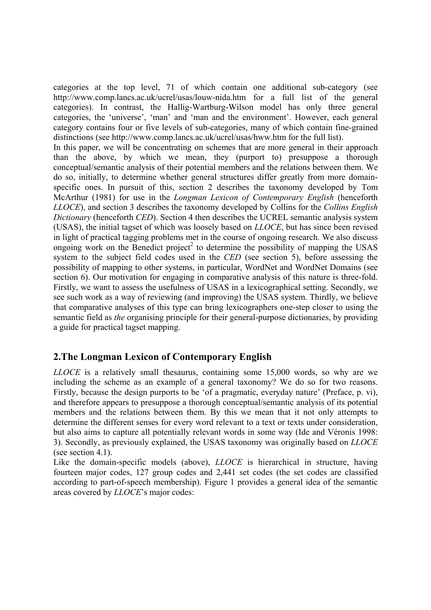categories at the top level, 71 of which contain one additional sub-category (see http://www.comp.lancs.ac.uk/ucrel/usas/louw-nida.htm for a full list of the general categories). In contrast, the Hallig-Wartburg-Wilson model has only three general categories, the 'universe', 'man' and 'man and the environment'. However, each general category contains four or five levels of sub-categories, many of which contain fine-grained distinctions (see http://www.comp.lancs.ac.uk/ucrel/usas/hww.htm for the full list).

In this paper, we will be concentrating on schemes that are more general in their approach than the above, by which we mean, they (purport to) presuppose a thorough conceptual/semantic analysis of their potential members and the relations between them. We do so, initially, to determine whether general structures differ greatly from more domainspecific ones. In pursuit of this, section 2 describes the taxonomy developed by Tom McArthur (1981) for use in the *Longman Lexicon of Contemporary English* (henceforth *LLOCE*), and section 3 describes the taxonomy developed by Collins for the *Collins English Dictionary* (henceforth *CED*). Section 4 then describes the UCREL semantic analysis system (USAS), the initial tagset of which was loosely based on *LLOCE*, but has since been revised in light of practical tagging problems met in the course of ongoing research. We also discuss ongoing work on the Benedict project<sup>2</sup> to determine the possibility of mapping the USAS system to the subject field codes used in the *CED* (see section 5), before assessing the possibility of mapping to other systems, in particular, WordNet and WordNet Domains (see section 6). Our motivation for engaging in comparative analysis of this nature is three-fold. Firstly, we want to assess the usefulness of USAS in a lexicographical setting. Secondly, we see such work as a way of reviewing (and improving) the USAS system. Thirdly, we believe that comparative analyses of this type can bring lexicographers one-step closer to using the semantic field as *the* organising principle for their general-purpose dictionaries, by providing a guide for practical tagset mapping.

# **2.The Longman Lexicon of Contemporary English**

*LLOCE* is a relatively small thesaurus, containing some 15,000 words, so why are we including the scheme as an example of a general taxonomy? We do so for two reasons. Firstly, because the design purports to be 'of a pragmatic, everyday nature' (Preface, p. vi), and therefore appears to presuppose a thorough conceptual/semantic analysis of its potential members and the relations between them. By this we mean that it not only attempts to determine the different senses for every word relevant to a text or texts under consideration, but also aims to capture all potentially relevant words in some way (Ide and Véronis 1998: 3). Secondly, as previously explained, the USAS taxonomy was originally based on *LLOCE*  (see section 4.1).

Like the domain-specific models (above), *LLOCE* is hierarchical in structure, having fourteen major codes, 127 group codes and 2,441 set codes (the set codes are classified according to part-of-speech membership). Figure 1 provides a general idea of the semantic areas covered by *LLOCE*'s major codes: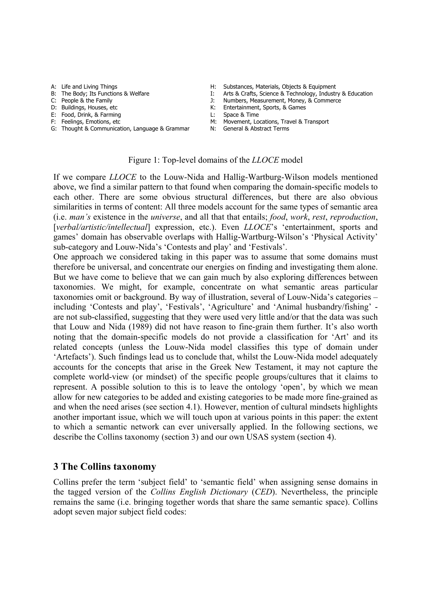- 
- 
- 
- 
- E: Food, Drink, & Farming L: Space & Time
- 
- F: Feelings, Emotions, etc M: Movement, Locations, Travel & Transport G: Thought & Communication, Language & Grammar M: General & Abstract Terms G: Thought & Communication, Language & Grammar
- A: Life and Living Things<br>
B: The Body: Its Functions & Welfare **Himmus Communisty Constances, Materials, Objects & Equipment**<br>
I: Arts & Crafts. Science & Technology. Industr
- B: The Body; Its Functions & Welfare I: Arts & Crafts, Science & Technology, Industry & Education<br>C: People & the Family I: Numbers, Measurement, Money, & Commerce
	- Numbers, Measurement, Money, & Commerce
- D: Buildings, Houses, etc **K: Entertainment, Sports, & Games** 
	-
	-
	-

#### Figure 1: Top-level domains of the *LLOCE* model

If we compare *LLOCE* to the Louw-Nida and Hallig-Wartburg-Wilson models mentioned above, we find a similar pattern to that found when comparing the domain-specific models to each other. There are some obvious structural differences, but there are also obvious similarities in terms of content: All three models account for the same types of semantic area (i.e. *man's* existence in the *universe*, and all that that entails; *food*, *work*, *rest*, *reproduction*, [verbal/artistic/intellectual] expression, etc.). Even *LLOCE*'s 'entertainment, sports and games' domain has observable overlaps with Hallig-Wartburg-Wilson's 'Physical Activity' sub-category and Louw-Nida's 'Contests and play' and 'Festivals'.

One approach we considered taking in this paper was to assume that some domains must therefore be universal, and concentrate our energies on finding and investigating them alone. But we have come to believe that we can gain much by also exploring differences between taxonomies. We might, for example, concentrate on what semantic areas particular taxonomies omit or background. By way of illustration, several of Louw-Nida's categories – including 'Contests and play', 'Festivals', 'Agriculture' and 'Animal husbandry/fishing' are not sub-classified, suggesting that they were used very little and/or that the data was such that Louw and Nida (1989) did not have reason to fine-grain them further. It's also worth noting that the domain-specific models do not provide a classification for 'Art' and its related concepts (unless the Louw-Nida model classifies this type of domain under 'Artefacts'). Such findings lead us to conclude that, whilst the Louw-Nida model adequately accounts for the concepts that arise in the Greek New Testament, it may not capture the complete world-view (or mindset) of the specific people groups/cultures that it claims to represent. A possible solution to this is to leave the ontology 'open', by which we mean allow for new categories to be added and existing categories to be made more fine-grained as and when the need arises (see section 4.1). However, mention of cultural mindsets highlights another important issue, which we will touch upon at various points in this paper: the extent to which a semantic network can ever universally applied. In the following sections, we describe the Collins taxonomy (section 3) and our own USAS system (section 4).

#### **3 The Collins taxonomy**

Collins prefer the term 'subject field' to 'semantic field' when assigning sense domains in the tagged version of the *Collins English Dictionary* (*CED*). Nevertheless, the principle remains the same (i.e. bringing together words that share the same semantic space). Collins adopt seven major subject field codes: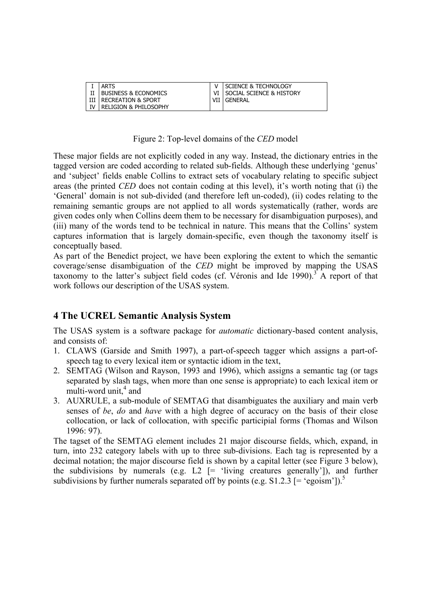| ARTS                             | I SCIENCE & TECHNOLOGY        |
|----------------------------------|-------------------------------|
| l Business & Economics           | VI I SOCIAL SCIENCE & HISTORY |
| I RECREATION & SPORT             | I GENERAL                     |
| <b>RELIGION &amp; PHILOSOPHY</b> |                               |

Figure 2: Top-level domains of the *CED* model

These major fields are not explicitly coded in any way. Instead, the dictionary entries in the tagged version are coded according to related sub-fields. Although these underlying 'genus' and 'subject' fields enable Collins to extract sets of vocabulary relating to specific subject areas (the printed *CED* does not contain coding at this level), it's worth noting that (i) the 'General' domain is not sub-divided (and therefore left un-coded), (ii) codes relating to the remaining semantic groups are not applied to all words systematically (rather, words are given codes only when Collins deem them to be necessary for disambiguation purposes), and (iii) many of the words tend to be technical in nature. This means that the Collins' system captures information that is largely domain-specific, even though the taxonomy itself is conceptually based.

As part of the Benedict project, we have been exploring the extent to which the semantic coverage/sense disambiguation of the *CED* might be improved by mapping the USAS taxonomy to the latter's subject field codes (cf. Véronis and Ide 1990).<sup>3</sup> A report of that work follows our description of the USAS system.

## **4 The UCREL Semantic Analysis System**

The USAS system is a software package for *automatic* dictionary-based content analysis, and consists of:

- 1. CLAWS (Garside and Smith 1997), a part-of-speech tagger which assigns a part-ofspeech tag to every lexical item or syntactic idiom in the text,
- 2. SEMTAG (Wilson and Rayson, 1993 and 1996), which assigns a semantic tag (or tags separated by slash tags, when more than one sense is appropriate) to each lexical item or  $m$ ulti-word unit,<sup>4</sup> and
- 3. AUXRULE, a sub-module of SEMTAG that disambiguates the auxiliary and main verb senses of *be*, *do* and *have* with a high degree of accuracy on the basis of their close collocation, or lack of collocation, with specific participial forms (Thomas and Wilson 1996: 97).

The tagset of the SEMTAG element includes 21 major discourse fields, which, expand, in turn, into 232 category labels with up to three sub-divisions. Each tag is represented by a decimal notation; the major discourse field is shown by a capital letter (see Figure 3 below), the subdivisions by numerals (e.g.  $L2$  [= 'living creatures generally']), and further subdivisions by further numerals separated off by points (e.g.  $S1.2.3$  [= 'egoism']).<sup>5</sup>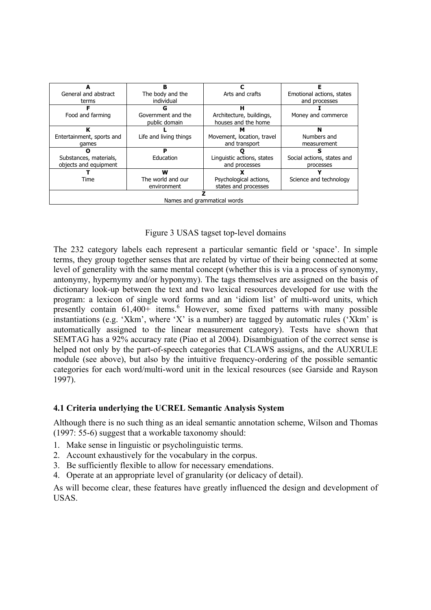|                             | R                      |                            | F                          |  |  |  |
|-----------------------------|------------------------|----------------------------|----------------------------|--|--|--|
| General and abstract        | The body and the       | Arts and crafts            | Emotional actions, states  |  |  |  |
| terms                       | individual             |                            | and processes              |  |  |  |
|                             | G                      | н                          |                            |  |  |  |
| Food and farming            | Government and the     | Architecture, buildings,   | Money and commerce         |  |  |  |
|                             | public domain          | houses and the home        |                            |  |  |  |
| ĸ                           |                        | м                          | N                          |  |  |  |
| Entertainment, sports and   | Life and living things | Movement, location, travel | Numbers and                |  |  |  |
| games                       |                        | and transport              | measurement                |  |  |  |
|                             | P                      |                            | ς                          |  |  |  |
| Substances, materials,      | Education              | Linguistic actions, states | Social actions, states and |  |  |  |
| objects and equipment       |                        | and processes              | processes                  |  |  |  |
|                             | w                      |                            |                            |  |  |  |
| Time                        | The world and our      | Psychological actions,     | Science and technology     |  |  |  |
|                             | environment            | states and processes       |                            |  |  |  |
|                             |                        |                            |                            |  |  |  |
| Names and grammatical words |                        |                            |                            |  |  |  |

Figure 3 USAS tagset top-level domains

The 232 category labels each represent a particular semantic field or 'space'. In simple terms, they group together senses that are related by virtue of their being connected at some level of generality with the same mental concept (whether this is via a process of synonymy, antonymy, hypernymy and/or hyponymy). The tags themselves are assigned on the basis of dictionary look-up between the text and two lexical resources developed for use with the program: a lexicon of single word forms and an 'idiom list' of multi-word units, which presently contain 61,400+ items.<sup>6</sup> However, some fixed patterns with many possible instantiations (e.g. 'Xkm', where 'X' is a number) are tagged by automatic rules ('Xkm' is automatically assigned to the linear measurement category). Tests have shown that SEMTAG has a 92% accuracy rate (Piao et al 2004). Disambiguation of the correct sense is helped not only by the part-of-speech categories that CLAWS assigns, and the AUXRULE module (see above), but also by the intuitive frequency-ordering of the possible semantic categories for each word/multi-word unit in the lexical resources (see Garside and Rayson 1997).

### **4.1 Criteria underlying the UCREL Semantic Analysis System**

Although there is no such thing as an ideal semantic annotation scheme, Wilson and Thomas (1997: 55-6) suggest that a workable taxonomy should:

- 1. Make sense in linguistic or psycholinguistic terms.
- 2. Account exhaustively for the vocabulary in the corpus.
- 3. Be sufficiently flexible to allow for necessary emendations.
- 4. Operate at an appropriate level of granularity (or delicacy of detail).

As will become clear, these features have greatly influenced the design and development of USAS.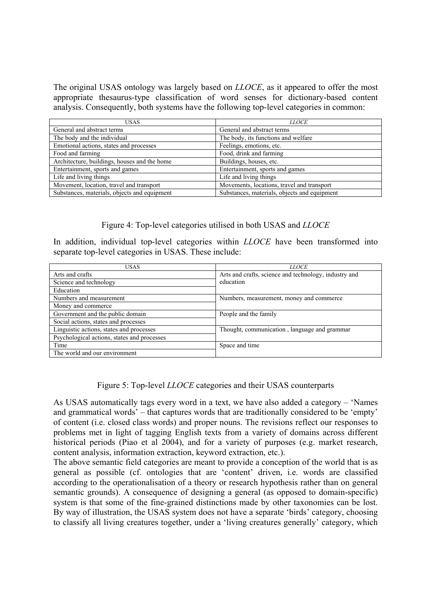The original USAS ontology was largely based on *LLOCE*, as it appeared to offer the most appropriate thesaurus-type classification of word senses for dictionary-based content analysis. Consequently, both systems have the following top-level categories in common:

| USAS                                         | <i>LLOCE</i>                                 |  |  |
|----------------------------------------------|----------------------------------------------|--|--|
| General and abstract terms                   | General and abstract terms                   |  |  |
| The body and the individual                  | The body, its functions and welfare          |  |  |
| Emotional actions, states and processes      | Feelings, emotions, etc.                     |  |  |
| Food and farming                             | Food, drink and farming                      |  |  |
| Architecture, buildings, houses and the home | Buildings, houses, etc.                      |  |  |
| Entertainment, sports and games              | Entertainment, sports and games              |  |  |
| Life and living things                       | Life and living things                       |  |  |
| Movement, location, travel and transport     | Movements, locations, travel and transport   |  |  |
| Substances, materials, objects and equipment | Substances, materials, objects and equipment |  |  |

#### Figure 4: Top-level categories utilised in both USAS and *LLOCE*

In addition, individual top-level categories within *LLOCE* have been transformed into separate top-level categories in USAS. These include:

| <b>USAS</b>                                 | <i>LLOCE</i>                                                       |  |
|---------------------------------------------|--------------------------------------------------------------------|--|
| Arts and crafts                             | Arts and crafts, science and technology, industry and<br>education |  |
| Science and technology                      |                                                                    |  |
| Education                                   |                                                                    |  |
| Numbers and measurement                     | Numbers, measurement, money and commerce                           |  |
| Money and commerce                          |                                                                    |  |
| Government and the public domain            | People and the family                                              |  |
| Social actions, states and processes        |                                                                    |  |
| Linguistic actions, states and processes    | Thought, communication, language and grammar                       |  |
| Psychological actions, states and processes |                                                                    |  |
| Time                                        | Space and time                                                     |  |
| The world and our environment               |                                                                    |  |

#### Figure 5: Top-level *LLOCE* categories and their USAS counterparts

As USAS automatically tags every word in a text, we have also added a category – 'Names and grammatical words' – that captures words that are traditionally considered to be 'empty' of content (i.e. closed class words) and proper nouns. The revisions reflect our responses to problems met in light of tagging English texts from a variety of domains across different historical periods (Piao et al 2004), and for a variety of purposes (e.g. market research, content analysis, information extraction, keyword extraction, etc.).

The above semantic field categories are meant to provide a conception of the world that is as general as possible (cf. ontologies that are 'content' driven, i.e. words are classified according to the operationalisation of a theory or research hypothesis rather than on general semantic grounds). A consequence of designing a general (as opposed to domain-specific) system is that some of the fine-grained distinctions made by other taxonomies can be lost. By way of illustration, the USAS system does not have a separate 'birds' category, choosing to classify all living creatures together, under a 'living creatures generally' category, which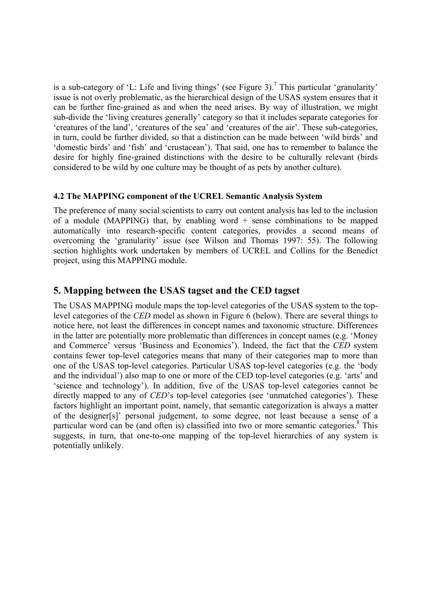is a sub-category of 'L: Life and living things' (see Figure 3).<sup>7</sup> This particular 'granularity' issue is not overly problematic, as the hierarchical design of the USAS system ensures that it can be further fine-grained as and when the need arises. By way of illustration, we might sub-divide the 'living creatures generally' category so that it includes separate categories for 'creatures of the land', 'creatures of the sea' and 'creatures of the air'. These sub-categories, in turn, could be further divided, so that a distinction can be made between 'wild birds' and 'domestic birds' and 'fish' and 'crustacean'). That said, one has to remember to balance the desire for highly fine-grained distinctions with the desire to be culturally relevant (birds considered to be wild by one culture may be thought of as pets by another culture).

#### **4.2 The MAPPING component of the UCREL Semantic Analysis System**

The preference of many social scientists to carry out content analysis has led to the inclusion of a module (MAPPING) that, by enabling word  $+$  sense combinations to be mapped automatically into research-specific content categories, provides a second means of overcoming the 'granularity' issue (see Wilson and Thomas 1997: 55). The following section highlights work undertaken by members of UCREL and Collins for the Benedict project, using this MAPPING module.

## **5. Mapping between the USAS tagset and the CED tagset**

The USAS MAPPING module maps the top-level categories of the USAS system to the toplevel categories of the *CED* model as shown in Figure 6 (below). There are several things to notice here, not least the differences in concept names and taxonomic structure. Differences in the latter are potentially more problematic than differences in concept names (e.g. 'Money and Commerce' versus 'Business and Economics'). Indeed, the fact that the *CED* system contains fewer top-level categories means that many of their categories map to more than one of the USAS top-level categories. Particular USAS top-level categories (e.g. the 'body and the individual') also map to one or more of the CED top-level categories (e.g. 'arts' and 'science and technology'). In addition, five of the USAS top-level categories cannot be directly mapped to any of *CED*'s top-level categories (see 'unmatched categories'). These factors highlight an important point, namely, that semantic categorization is always a matter of the designer[s]' personal judgement, to some degree, not least because a sense of a particular word can be (and often is) classified into two or more semantic categories.<sup>8</sup> This suggests, in turn, that one-to-one mapping of the top-level hierarchies of any system is potentially unlikely.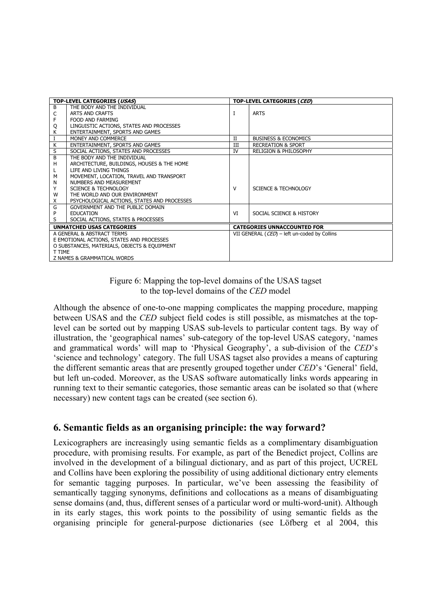| TOP-LEVEL CATEGORIES (USAS)                  |                                             | TOP-LEVEL CATEGORIES (CED) |                                              |  |
|----------------------------------------------|---------------------------------------------|----------------------------|----------------------------------------------|--|
| B                                            | THE BODY AND THE INDIVIDUAL                 |                            |                                              |  |
| C                                            | ARTS AND CRAFTS                             | I                          | <b>ARTS</b>                                  |  |
| F                                            | FOOD AND FARMING                            |                            |                                              |  |
| Q                                            | LINGUISTIC ACTIONS, STATES AND PROCESSES    |                            |                                              |  |
| К                                            | ENTERTAINMENT, SPORTS AND GAMES             |                            |                                              |  |
| I                                            | MONEY AND COMMERCE                          | П                          | <b>BUSINESS &amp; ECONOMICS</b>              |  |
| K                                            | ENTERTAINMENT, SPORTS AND GAMES             | Ш                          | <b>RECREATION &amp; SPORT</b>                |  |
| S                                            | SOCIAL ACTIONS, STATES AND PROCESSES        | IV                         | <b>RELIGION &amp; PHILOSOPHY</b>             |  |
| B                                            | THE BODY AND THE INDIVIDUAL                 |                            |                                              |  |
| н                                            | ARCHITECTURE, BUILDINGS, HOUSES & THE HOME  |                            |                                              |  |
|                                              | LIFE AND LIVING THINGS                      |                            |                                              |  |
| M                                            | MOVEMENT, LOCATION, TRAVEL AND TRANSPORT    |                            |                                              |  |
| N                                            | NUMBERS AND MEASUREMENT                     |                            |                                              |  |
| Y                                            | <b>SCIENCE &amp; TECHNOLOGY</b>             | v                          | SCIENCE & TECHNOLOGY                         |  |
| W                                            | THE WORLD AND OUR ENVIRONMENT               |                            |                                              |  |
| X                                            | PSYCHOLOGICAL ACTIONS, STATES AND PROCESSES |                            |                                              |  |
| G                                            | GOVERNMENT AND THE PUBLIC DOMAIN            |                            |                                              |  |
| P                                            | <b>EDUCATION</b>                            | VI                         | SOCIAL SCIENCE & HISTORY                     |  |
| S                                            | SOCIAL ACTIONS, STATES & PROCESSES          |                            |                                              |  |
| <b>UNMATCHED USAS CATEGORIES</b>             |                                             |                            | <b>CATEGORIES UNNACCOUNTED FOR</b>           |  |
| A GENERAL & ABSTRACT TERMS                   |                                             |                            | VII GENERAL (CED) - left un-coded by Collins |  |
| E EMOTIONAL ACTIONS, STATES AND PROCESSES    |                                             |                            |                                              |  |
| O SUBSTANCES, MATERIALS, OBJECTS & EQUIPMENT |                                             |                            |                                              |  |
| T TIME                                       |                                             |                            |                                              |  |
| Z NAMES & GRAMMATICAL WORDS                  |                                             |                            |                                              |  |

## Figure 6: Mapping the top-level domains of the USAS tagset to the top-level domains of the *CED* model

Although the absence of one-to-one mapping complicates the mapping procedure, mapping between USAS and the *CED* subject field codes is still possible, as mismatches at the toplevel can be sorted out by mapping USAS sub-levels to particular content tags. By way of illustration, the 'geographical names' sub-category of the top-level USAS category, 'names and grammatical words' will map to 'Physical Geography', a sub-division of the *CED*'s 'science and technology' category. The full USAS tagset also provides a means of capturing the different semantic areas that are presently grouped together under *CED*'s 'General' field, but left un-coded. Moreover, as the USAS software automatically links words appearing in running text to their semantic categories, those semantic areas can be isolated so that (where necessary) new content tags can be created (see section 6).

# **6. Semantic fields as an organising principle: the way forward?**

Lexicographers are increasingly using semantic fields as a complimentary disambiguation procedure, with promising results. For example, as part of the Benedict project, Collins are involved in the development of a bilingual dictionary, and as part of this project, UCREL and Collins have been exploring the possibility of using additional dictionary entry elements for semantic tagging purposes. In particular, we've been assessing the feasibility of semantically tagging synonyms, definitions and collocations as a means of disambiguating sense domains (and, thus, different senses of a particular word or multi-word-unit). Although in its early stages, this work points to the possibility of using semantic fields as the organising principle for general-purpose dictionaries (see Löfberg et al 2004, this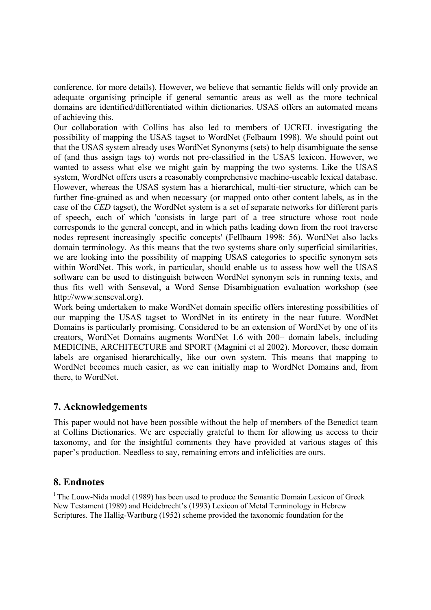conference, for more details). However, we believe that semantic fields will only provide an adequate organising principle if general semantic areas as well as the more technical domains are identified/differentiated within dictionaries. USAS offers an automated means of achieving this.

Our collaboration with Collins has also led to members of UCREL investigating the possibility of mapping the USAS tagset to WordNet (Felbaum 1998). We should point out that the USAS system already uses WordNet Synonyms (sets) to help disambiguate the sense of (and thus assign tags to) words not pre-classified in the USAS lexicon. However, we wanted to assess what else we might gain by mapping the two systems. Like the USAS system, WordNet offers users a reasonably comprehensive machine-useable lexical database. However, whereas the USAS system has a hierarchical, multi-tier structure, which can be further fine-grained as and when necessary (or mapped onto other content labels, as in the case of the *CED* tagset), the WordNet system is a set of separate networks for different parts of speech, each of which 'consists in large part of a tree structure whose root node corresponds to the general concept, and in which paths leading down from the root traverse nodes represent increasingly specific concepts' (Fellbaum 1998: 56). WordNet also lacks domain terminology. As this means that the two systems share only superficial similarities, we are looking into the possibility of mapping USAS categories to specific synonym sets within WordNet. This work, in particular, should enable us to assess how well the USAS software can be used to distinguish between WordNet synonym sets in running texts, and thus fits well with Senseval, a Word Sense Disambiguation evaluation workshop (see http://www.senseval.org).

Work being undertaken to make WordNet domain specific offers interesting possibilities of our mapping the USAS tagset to WordNet in its entirety in the near future. WordNet Domains is particularly promising. Considered to be an extension of WordNet by one of its creators, WordNet Domains augments WordNet 1.6 with 200+ domain labels, including MEDICINE, ARCHITECTURE and SPORT (Magnini et al 2002). Moreover, these domain labels are organised hierarchically, like our own system. This means that mapping to WordNet becomes much easier, as we can initially map to WordNet Domains and, from there, to WordNet.

## **7. Acknowledgements**

This paper would not have been possible without the help of members of the Benedict team at Collins Dictionaries. We are especially grateful to them for allowing us access to their taxonomy, and for the insightful comments they have provided at various stages of this paper's production. Needless to say, remaining errors and infelicities are ours.

# **8. Endnotes**

<sup>1</sup> The Louw-Nida model (1989) has been used to produce the Semantic Domain Lexicon of Greek New Testament (1989) and Heidebrecht's (1993) Lexicon of Metal Terminology in Hebrew Scriptures. The Hallig-Wartburg (1952) scheme provided the taxonomic foundation for the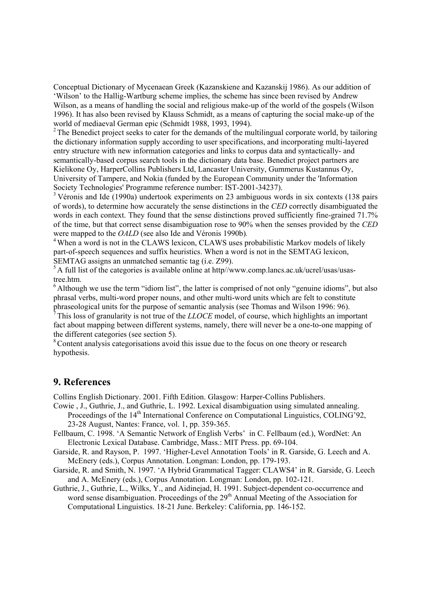Conceptual Dictionary of Mycenaean Greek (Kazanskiene and Kazanskij 1986). As our addition of 'Wilson' to the Hallig-Wartburg scheme implies, the scheme has since been revised by Andrew Wilson, as a means of handling the social and religious make-up of the world of the gospels (Wilson 1996). It has also been revised by Klauss Schmidt, as a means of capturing the social make-up of the world of mediaeval German epic (Schmidt 1988, 1993, 1994).

<sup>2</sup> The Benedict project seeks to cater for the demands of the multilingual corporate world, by tailoring the dictionary information supply according to user specifications, and incorporating multi-layered entry structure with new information categories and links to corpus data and syntactically- and semantically-based corpus search tools in the dictionary data base. Benedict project partners are Kielikone Oy, HarperCollins Publishers Ltd, Lancaster University, Gummerus Kustannus Oy, University of Tampere, and Nokia (funded by the European Community under the 'Information Society Technologies' Programme reference number: IST-2001-34237).

<sup>3</sup> Véronis and Ide (1990a) undertook experiments on 23 ambiguous words in six contexts (138 pairs of words), to determine how accurately the sense distinctions in the *CED* correctly disambiguated the words in each context. They found that the sense distinctions proved sufficiently fine-grained 71.7% of the time, but that correct sense disambiguation rose to 90% when the senses provided by the *CED* 

were mapped to the *OALD* (see also Ide and Véronis 1990b).<br><sup>4</sup> When a word is not in the CLAWS lexicon, CLAWS uses probabilistic Markov models of likely part-of-speech sequences and suffix heuristics. When a word is not in the SEMTAG lexicon, SEMTAG assigns an unmatched semantic tag (i.e. Z99).

<sup>5</sup> A full list of the categories is available online at http//www.comp.lancs.ac.uk/ucrel/usas/usastree.htm.

<sup>6</sup> Although we use the term "idiom list", the latter is comprised of not only "genuine idioms", but also phrasal verbs, multi-word proper nouns, and other multi-word units which are felt to constitute phraseological units for the purpose of semantic analysis (see Thomas and Wilson 1996: 96).

7 This loss of granularity is not true of the *LLOCE* model, of course, which highlights an important fact about mapping between different systems, namely, there will never be a one-to-one mapping of the different categories (see section 5).

<sup>8</sup> Content analysis categorisations avoid this issue due to the focus on one theory or research hypothesis.

#### **9. References**

Collins English Dictionary. 2001. Fifth Edition. Glasgow: Harper-Collins Publishers.

- Cowie , J., Guthrie, J., and Guthrie, L. 1992. Lexical disambiguation using simulated annealing. Proceedings of the 14<sup>th</sup> International Conference on Computational Linguistics, COLING'92, 23-28 August, Nantes: France, vol. 1, pp. 359-365.
- Fellbaum, C. 1998. 'A Semantic Network of English Verbs' in C. Fellbaum (ed.), WordNet: An Electronic Lexical Database. Cambridge, Mass.: MIT Press. pp. 69-104.
- Garside, R. and Rayson, P. 1997. 'Higher-Level Annotation Tools' in R. Garside, G. Leech and A. McEnery (eds.), Corpus Annotation. Longman: London, pp. 179-193.
- Garside, R. and Smith, N. 1997. 'A Hybrid Grammatical Tagger: CLAWS4' in R. Garside, G. Leech and A. McEnery (eds.), Corpus Annotation. Longman: London, pp. 102-121.
- Guthrie, J., Guthrie, L., Wilks, Y., and Aidinejad, H. 1991. Subject-dependent co-occurrence and word sense disambiguation. Proceedings of the 29<sup>th</sup> Annual Meeting of the Association for Computational Linguistics. 18-21 June. Berkeley: California, pp. 146-152.